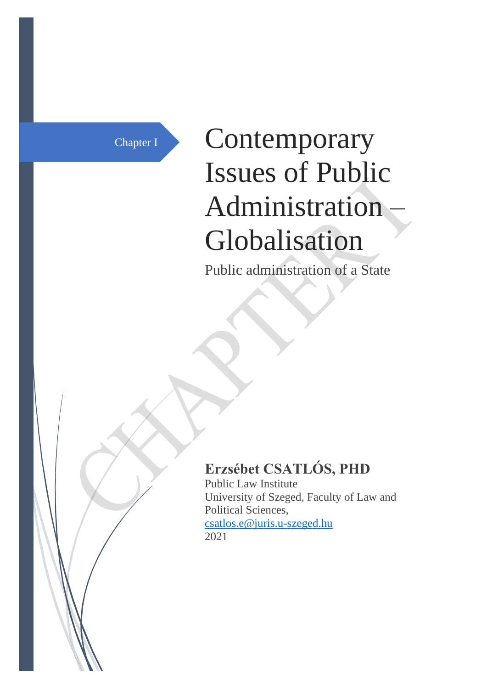# Chapter I Contemporary Issues of Public Administration – Globalisation

Public administration of a State

# **Erzsébet CSATLÓS, PHD**

Public Law Institute University of Szeged, Faculty of Law and Political Sciences, [csatlos.e@juris.u-szeged.hu](mailto:csatlos.e@juris.u-szeged.hu) 2021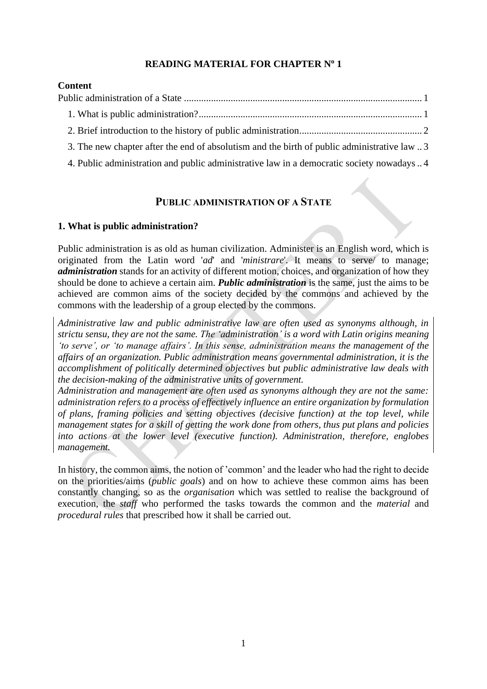#### **READING MATERIAL FOR CHAPTER N<sup>o</sup> 1**

#### **Content**

| 3. The new chapter after the end of absolutism and the birth of public administrative law |  |
|-------------------------------------------------------------------------------------------|--|

<span id="page-1-0"></span>[4. Public administration and public administrative law in a democratic society](#page-4-0) nowadays.. 4

#### **PUBLIC ADMINISTRATION OF A STATE**

#### <span id="page-1-1"></span>**1. What is public administration?**

Public administration is as old as human civilization. Administer is an English word, which is originated from the Latin word '*ad*' and '*ministrare*'. It means to serve/ to manage; *administration* stands for an activity of different motion, choices, and organization of how they should be done to achieve a certain aim. *Public administration* is the same, just the aims to be achieved are common aims of the society decided by the commons and achieved by the commons with the leadership of a group elected by the commons.

*Administrative law and public administrative law are often used as synonyms although, in strictu sensu, they are not the same. The 'administration' is a word with Latin origins meaning 'to serve', or 'to manage affairs'. In this sense, administration means the management of the affairs of an organization. Public administration means governmental administration, it is the accomplishment of politically determined objectives but public administrative law deals with the decision-making of the administrative units of government.*

*Administration and management are often used as synonyms although they are not the same: administration refers to a process of effectively influence an entire organization by formulation of plans, framing policies and setting objectives (decisive function) at the top level, while management states for a skill of getting the work done from others, thus put plans and policies into actions at the lower level (executive function). Administration, therefore, englobes management.*

In history, the common aims, the notion of 'common' and the leader who had the right to decide on the priorities/aims (*public goals*) and on how to achieve these common aims has been constantly changing, so as the *organisation* which was settled to realise the background of execution, the *staff* who performed the tasks towards the common and the *material* and *procedural rules* that prescribed how it shall be carried out.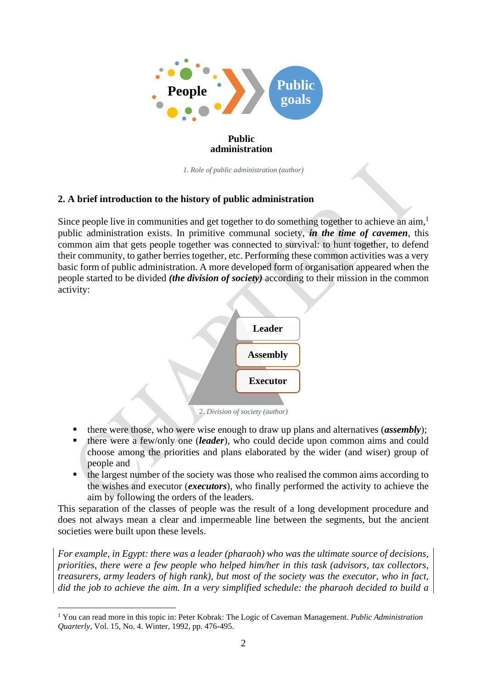

*1. Role of public administration (author)*

#### <span id="page-2-0"></span>**2. A brief introduction to the history of public administration**

Since people live in communities and get together to do something together to achieve an  $\dim<sup>1</sup>$ public administration exists. In primitive communal society, *in the time of cavemen*, this common aim that gets people together was connected to survival: to hunt together, to defend their community, to gather berries together, etc. Performing these common activities was a very basic form of public administration. A more developed form of organisation appeared when the people started to be divided *(the division of society)* according to their mission in the common activity:



*2. Division of society (author)*

- there were those, who were wise enough to draw up plans and alternatives (*assembly*);
- there were a few/only one *(leader)*, who could decide upon common aims and could choose among the priorities and plans elaborated by the wider (and wiser) group of people and
- the largest number of the society was those who realised the common aims according to the wishes and executor (*executors*), who finally performed the activity to achieve the aim by following the orders of the leaders.

This separation of the classes of people was the result of a long development procedure and does not always mean a clear and impermeable line between the segments, but the ancient societies were built upon these levels.

*For example, in Egypt: there was a leader (pharaoh) who was the ultimate source of decisions, priorities, there were a few people who helped him/her in this task (advisors, tax collectors, treasurers, army leaders of high rank), but most of the society was the executor, who in fact, did the job to achieve the aim. In a very simplified schedule: the pharaoh decided to build a* 

<sup>1</sup> You can read more in this topic in: Peter Kobrak: The Logic of Caveman Management. *Public Administration Quarterly*, Vol. 15, No. 4. Winter, 1992, pp. 476-495.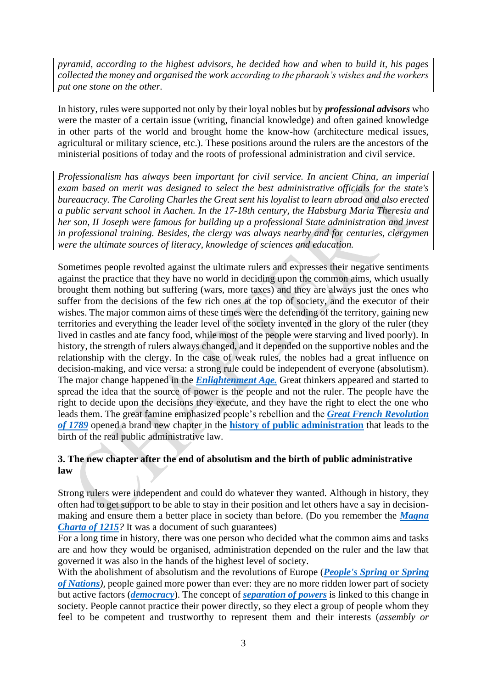*pyramid, according to the highest advisors, he decided how and when to build it, his pages collected the money and organised the work according to the pharaoh's wishes and the workers put one stone on the other.* 

In history, rules were supported not only by their loyal nobles but by *professional advisors* who were the master of a certain issue (writing, financial knowledge) and often gained knowledge in other parts of the world and brought home the know-how (architecture medical issues, agricultural or military science, etc.). These positions around the rulers are the ancestors of the ministerial positions of today and the roots of professional administration and civil service.

*Professionalism has always been important for civil service. In ancient China, an imperial exam based on merit was designed to select the best administrative officials for the state's bureaucracy. The Caroling Charles the Great sent his loyalist to learn abroad and also erected a public servant school in Aachen. In the 17-18th century, the Habsburg Maria Theresia and her son, II Joseph were famous for building up a professional State administration and invest in professional training. Besides, the clergy was always nearby and for centuries, clergymen were the ultimate sources of literacy, knowledge of sciences and education.*

Sometimes people revolted against the ultimate rulers and expresses their negative sentiments against the practice that they have no world in deciding upon the common aims, which usually brought them nothing but suffering (wars, more taxes) and they are always just the ones who suffer from the decisions of the few rich ones at the top of society, and the executor of their wishes. The major common aims of these times were the defending of the territory, gaining new territories and everything the leader level of the society invented in the glory of the ruler (they lived in castles and ate fancy food, while most of the people were starving and lived poorly). In history, the strength of rulers always changed, and it depended on the supportive nobles and the relationship with the clergy. In the case of weak rules, the nobles had a great influence on decision-making, and vice versa: a strong rule could be independent of everyone (absolutism). The major change happened in the *[Enlightenment Age.](https://www.history.com/topics/british-history/enlightenment)* Great thinkers appeared and started to spread the idea that the source of power is the people and not the ruler. The people have the right to decide upon the decisions they execute, and they have the right to elect the one who leads them. The great famine emphasized people's rebellion and the *[Great French Revolution](https://www.history.com/topics/france/french-revolution)  [of 1789](https://www.history.com/topics/france/french-revolution)* opened a brand new chapter in the **[history of public administration](https://www.britannica.com/topic/public-administration#ref36927)** that leads to the birth of the real public administrative law.

#### <span id="page-3-0"></span>**3. The new chapter after the end of absolutism and the birth of public administrative law**

Strong rulers were independent and could do whatever they wanted. Although in history, they often had to get support to be able to stay in their position and let others have a say in decisionmaking and ensure them a better place in society than before. (Do you remember the *[Magna](https://www.historyextra.com/period/medieval/facts-magna-carta-when-signed-why-significant-law-today/)  [Charta of 1215](https://www.historyextra.com/period/medieval/facts-magna-carta-when-signed-why-significant-law-today/)?* It was a document of such guarantees)

For a long time in history, there was one person who decided what the common aims and tasks are and how they would be organised, administration depended on the ruler and the law that governed it was also in the hands of the highest level of society.

With the abolishment of absolutism and the revolutions of Europe (*[People's Spring](https://omniatlas.com/maps/europe/18480224/)* **or** *Spring [of Nations](https://omniatlas.com/maps/europe/18480224/)),* people gained more power than ever: they are no more ridden lower part of society but active factors (*[democracy](https://www.britannica.com/topic/democracy)*). The concept of *[separation of powers](https://www.britannica.com/topic/separation-of-powers)* is linked to this change in society. People cannot practice their power directly, so they elect a group of people whom they feel to be competent and trustworthy to represent them and their interests (*assembly or*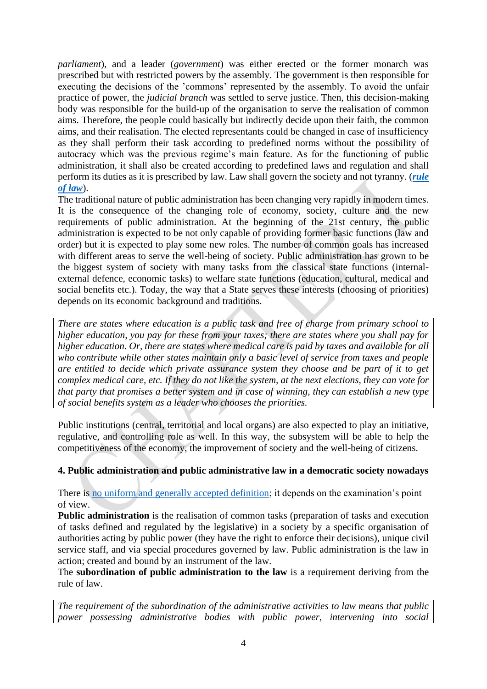*parliament*), and a leader (*government*) was either erected or the former monarch was prescribed but with restricted powers by the assembly. The government is then responsible for executing the decisions of the 'commons' represented by the assembly. To avoid the unfair practice of power, the *judicial branch* was settled to serve justice. Then, this decision-making body was responsible for the build-up of the organisation to serve the realisation of common aims. Therefore, the people could basically but indirectly decide upon their faith, the common aims, and their realisation. The elected representants could be changed in case of insufficiency as they shall perform their task according to predefined norms without the possibility of autocracy which was the previous regime's main feature. As for the functioning of public administration, it shall also be created according to predefined laws and regulation and shall perform its duties as it is prescribed by law. Law shall govern the society and not tyranny. (*[rule](https://www.britannica.com/topic/rule-of-law)  [of law](https://www.britannica.com/topic/rule-of-law)*).

The traditional nature of public administration has been changing very rapidly in modern times. It is the consequence of the changing role of economy, society, culture and the new requirements of public administration. At the beginning of the 21st century, the public administration is expected to be not only capable of providing former basic functions (law and order) but it is expected to play some new roles. The number of common goals has increased with different areas to serve the well-being of society. Public administration has grown to be the biggest system of society with many tasks from the classical state functions (internalexternal defence, economic tasks) to welfare state functions (education, cultural, medical and social benefits etc.). Today, the way that a State serves these interests (choosing of priorities) depends on its economic background and traditions.

*There are states where education is a public task and free of charge from primary school to higher education, you pay for these from your taxes; there are states where you shall pay for higher education. Or, there are states where medical care is paid by taxes and available for all who contribute while other states maintain only a basic level of service from taxes and people are entitled to decide which private assurance system they choose and be part of it to get complex medical care, etc. If they do not like the system, at the next elections, they can vote for that party that promises a better system and in case of winning, they can establish a new type of social benefits system as a leader who chooses the priorities.*

Public institutions (central, territorial and local organs) are also expected to play an initiative, regulative, and controlling role as well. In this way, the subsystem will be able to help the competitiveness of the economy, the improvement of society and the well-being of citizens.

#### <span id="page-4-0"></span>**4. Public administration and public administrative law in a democratic society nowadays**

There is [no uniform and generally accepted definition;](https://www.britannica.com/topic/administrative-law) it depends on the examination's point of view.

**Public administration** is the realisation of common tasks (preparation of tasks and execution of tasks defined and regulated by the legislative) in a society by a specific organisation of authorities acting by public power (they have the right to enforce their decisions), unique civil service staff, and via special procedures governed by law. Public administration is the law in action; created and bound by an instrument of the law.

The **subordination of public administration to the law** is a requirement deriving from the rule of law.

*The requirement of the subordination of the administrative activities to law means that public power possessing administrative bodies with public power, intervening into social*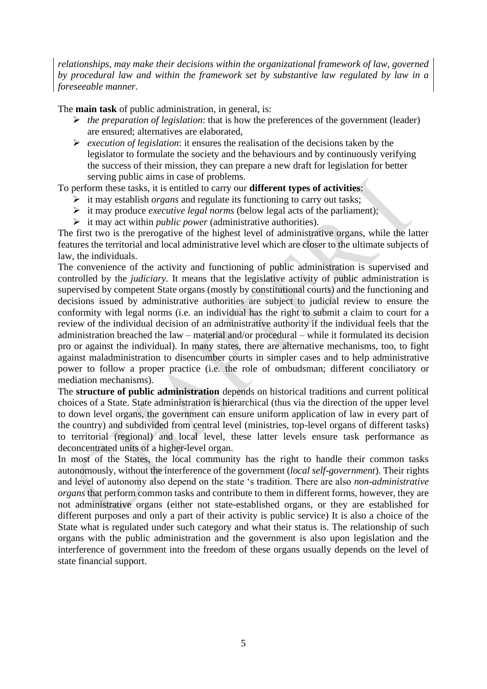*relationships, may make their decisions within the organizational framework of law, governed by procedural law and within the framework set by substantive law regulated by law in a foreseeable manner.*

The **main task** of public administration, in general, is:

- ➢ *the preparation of legislation*: that is how the preferences of the government (leader) are ensured; alternatives are elaborated,
- ➢ *execution of legislation*: it ensures the realisation of the decisions taken by the legislator to formulate the society and the behaviours and by continuously verifying the success of their mission, they can prepare a new draft for legislation for better serving public aims in case of problems.

To perform these tasks, it is entitled to carry our **different types of activities**:

- ➢ it may establish *organs* and regulate its functioning to carry out tasks;
- ➢ it may produce *executive legal norms* (below legal acts of the parliament);
- ➢ it may act within *public power* (administrative authorities).

The first two is the prerogative of the highest level of administrative organs, while the latter features the territorial and local administrative level which are closer to the ultimate subjects of law, the individuals.

The convenience of the activity and functioning of public administration is supervised and controlled by the *judiciary.* It means that the legislative activity of public administration is supervised by competent State organs (mostly by constitutional courts) and the functioning and decisions issued by administrative authorities are subject to judicial review to ensure the conformity with legal norms (i.e. an individual has the right to submit a claim to court for a review of the individual decision of an administrative authority if the individual feels that the administration breached the law – material and/or procedural – while it formulated its decision pro or against the individual). In many states, there are alternative mechanisms, too, to fight against maladministration to disencumber courts in simpler cases and to help administrative power to follow a proper practice (i.e. the role of ombudsman; different conciliatory or mediation mechanisms).

The **structure of public administration** depends on historical traditions and current political choices of a State. State administration is hierarchical (thus via the direction of the upper level to down level organs, the government can ensure uniform application of law in every part of the country) and subdivided from central level (ministries, top-level organs of different tasks) to territorial (regional) and local level, these latter levels ensure task performance as deconcentrated units of a higher-level organ.

In most of the States, the local community has the right to handle their common tasks autonomously, without the interference of the government (*local self-government*). Their rights and level of autonomy also depend on the state 's tradition. There are also *non-administrative organs* that perform common tasks and contribute to them in different forms, however, they are not administrative organs (either not state-established organs, or they are established for different purposes and only a part of their activity is public service) It is also a choice of the State what is regulated under such category and what their status is. The relationship of such organs with the public administration and the government is also upon legislation and the interference of government into the freedom of these organs usually depends on the level of state financial support.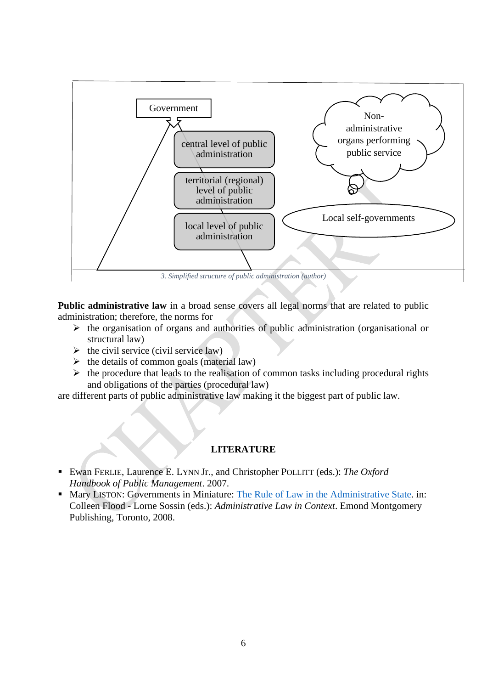

**Public administrative law** in a broad sense covers all legal norms that are related to public administration; therefore, the norms for

- $\triangleright$  the organisation of organs and authorities of public administration (organisational or structural law)
- $\triangleright$  the civil service (civil service law)
- $\triangleright$  the details of common goals (material law)
- $\triangleright$  the procedure that leads to the realisation of common tasks including procedural rights and obligations of the parties (procedural law)

are different parts of public administrative law making it the biggest part of public law.

#### **LITERATURE**

- Ewan FERLIE, Laurence E. LYNN Jr., and Christopher POLLITT (eds.): *The Oxford Handbook of Public Management*. 2007.
- Mary LISTON: Governments in Miniature: [The Rule of Law in the Administrative State.](https://pdfs.semanticscholar.org/040b/d3e68f6ca76c46f4bb7dc7bd52f00cf4e8d4.pdf) in: Colleen Flood - Lorne Sossin (eds.): *Administrative Law in Context*. Emond Montgomery Publishing, Toronto, 2008.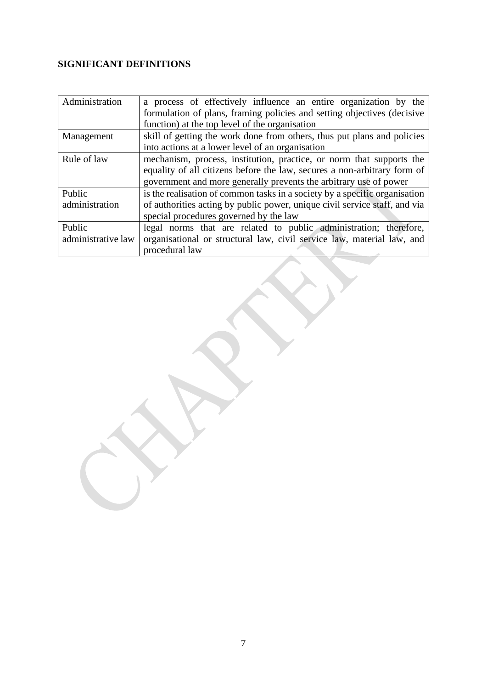### **SIGNIFICANT DEFINITIONS**

| Administration     | a process of effectively influence an entire organization by the           |
|--------------------|----------------------------------------------------------------------------|
|                    | formulation of plans, framing policies and setting objectives (decisive    |
|                    | function) at the top level of the organisation                             |
| Management         | skill of getting the work done from others, thus put plans and policies    |
|                    | into actions at a lower level of an organisation                           |
| Rule of law        | mechanism, process, institution, practice, or norm that supports the       |
|                    | equality of all citizens before the law, secures a non-arbitrary form of   |
|                    | government and more generally prevents the arbitrary use of power          |
| Public             | is the realisation of common tasks in a society by a specific organisation |
| administration     | of authorities acting by public power, unique civil service staff, and via |
|                    | special procedures governed by the law                                     |
| Public             | legal norms that are related to public administration; therefore,          |
| administrative law | organisational or structural law, civil service law, material law, and     |
|                    | procedural law                                                             |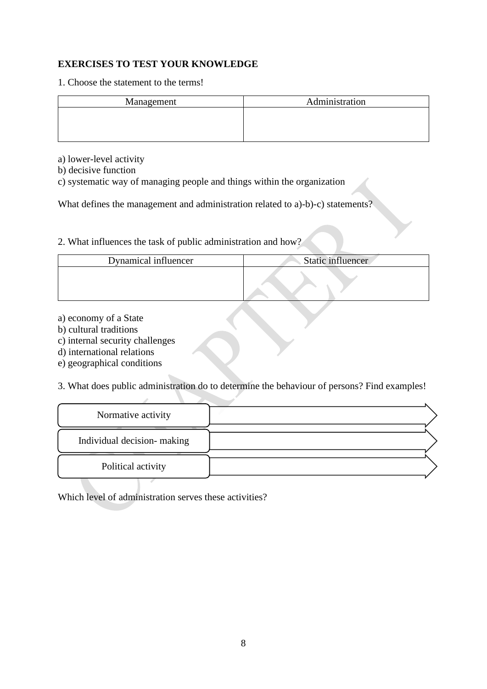#### **EXERCISES TO TEST YOUR KNOWLEDGE**

1. Choose the statement to the terms!

| Management | Administration |
|------------|----------------|
|            |                |
|            |                |
|            |                |

a) lower-level activity

b) decisive function

c) systematic way of managing people and things within the organization

What defines the management and administration related to a)-b)-c) statements?

2. What influences the task of public administration and how?

| Dynamical influencer | Static influencer |
|----------------------|-------------------|
|                      |                   |

- a) economy of a State
- b) cultural traditions
- c) internal security challenges

d) international relations

e) geographical conditions

3. What does public administration do to determine the behaviour of persons? Find examples!

| Normative activity         |  |
|----------------------------|--|
| Individual decision-making |  |
| Political activity         |  |

Which level of administration serves these activities?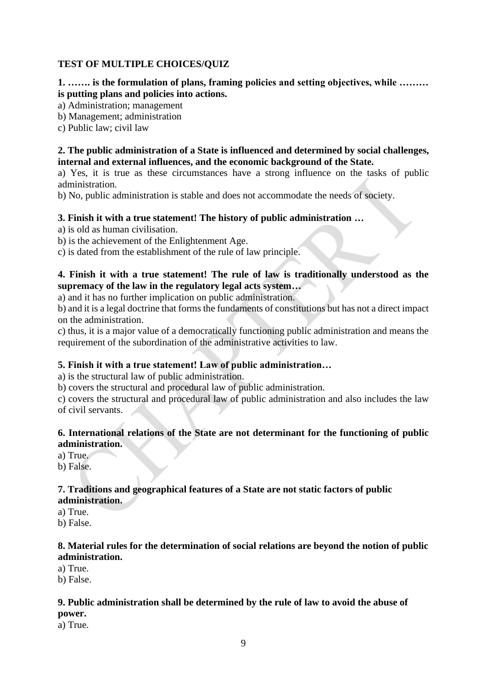#### **TEST OF MULTIPLE CHOICES/QUIZ**

**1. ……. is the formulation of plans, framing policies and setting objectives, while ……… is putting plans and policies into actions.**

a) Administration; management

b) Management; administration

c) Public law; civil law

#### **2. The public administration of a State is influenced and determined by social challenges, internal and external influences, and the economic background of the State.**

a) Yes, it is true as these circumstances have a strong influence on the tasks of public administration.

b) No, public administration is stable and does not accommodate the needs of society.

#### **3. Finish it with a true statement! The history of public administration …**

a) is old as human civilisation.

b) is the achievement of the Enlightenment Age.

c) is dated from the establishment of the rule of law principle.

#### **4. Finish it with a true statement! The rule of law is traditionally understood as the supremacy of the law in the regulatory legal acts system…**

a) and it has no further implication on public administration.

b) and it is a legal doctrine that forms the fundaments of constitutions but has not a direct impact on the administration.

c) thus, it is a major value of a democratically functioning public administration and means the requirement of the subordination of the administrative activities to law.

#### **5. Finish it with a true statement! Law of public administration…**

a) is the structural law of public administration.

b) covers the structural and procedural law of public administration.

c) covers the structural and procedural law of public administration and also includes the law of civil servants.

#### **6. International relations of the State are not determinant for the functioning of public administration.**

a) True.

b) False.

## **7. Traditions and geographical features of a State are not static factors of public**

**administration.**

a) True.

b) False.

#### **8. Material rules for the determination of social relations are beyond the notion of public administration.**

a) True.

b) False.

#### **9. Public administration shall be determined by the rule of law to avoid the abuse of**

**power.**

a) True.